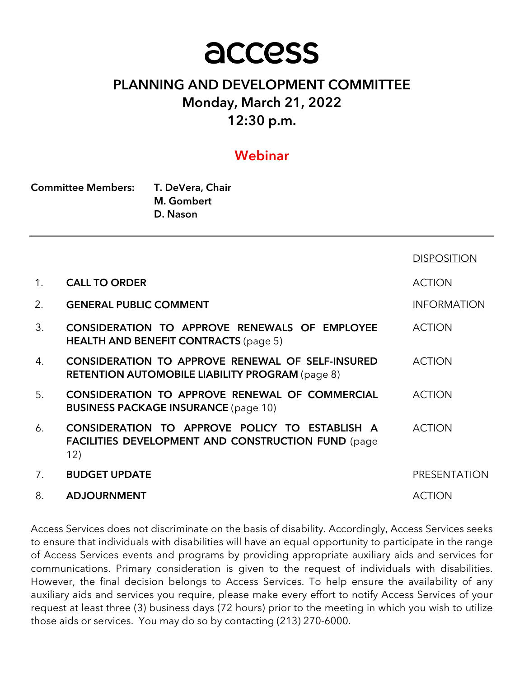# access

# PLANNING AND DEVELOPMENT COMMITTEE Monday, March 21, 2022 12:30 p.m.

## Webinar

| <b>Committee Members:</b> | T. DeVera, Chair |  |
|---------------------------|------------------|--|
|                           | M. Gombert       |  |
|                           | D. Nason         |  |

|                |                                                                                                                     | <b>DISPOSITION</b>  |
|----------------|---------------------------------------------------------------------------------------------------------------------|---------------------|
| 1 <sub>1</sub> | <b>CALL TO ORDER</b>                                                                                                | <b>ACTION</b>       |
| 2.             | <b>GENERAL PUBLIC COMMENT</b>                                                                                       | <b>INFORMATION</b>  |
| 3.             | CONSIDERATION TO APPROVE RENEWALS OF EMPLOYEE<br><b>HEALTH AND BENEFIT CONTRACTS (page 5)</b>                       | <b>ACTION</b>       |
| 4.             | <b>CONSIDERATION TO APPROVE RENEWAL OF SELF-INSURED</b><br><b>RETENTION AUTOMOBILE LIABILITY PROGRAM (page 8)</b>   | <b>ACTION</b>       |
| 5 <sub>1</sub> | CONSIDERATION TO APPROVE RENEWAL OF COMMERCIAL<br><b>BUSINESS PACKAGE INSURANCE (page 10)</b>                       | <b>ACTION</b>       |
| 6.             | CONSIDERATION TO APPROVE POLICY TO ESTABLISH A<br><b>FACILITIES DEVELOPMENT AND CONSTRUCTION FUND (page)</b><br>12) | <b>ACTION</b>       |
| 7.             | <b>BUDGET UPDATE</b>                                                                                                | <b>PRESENTATION</b> |
| 8.             | <b>ADJOURNMENT</b>                                                                                                  | <b>ACTION</b>       |

Access Services does not discriminate on the basis of disability. Accordingly, Access Services seeks to ensure that individuals with disabilities will have an equal opportunity to participate in the range of Access Services events and programs by providing appropriate auxiliary aids and services for communications. Primary consideration is given to the request of individuals with disabilities. However, the final decision belongs to Access Services. To help ensure the availability of any auxiliary aids and services you require, please make every effort to notify Access Services of your request at least three (3) business days (72 hours) prior to the meeting in which you wish to utilize those aids or services. You may do so by contacting (213) 270-6000.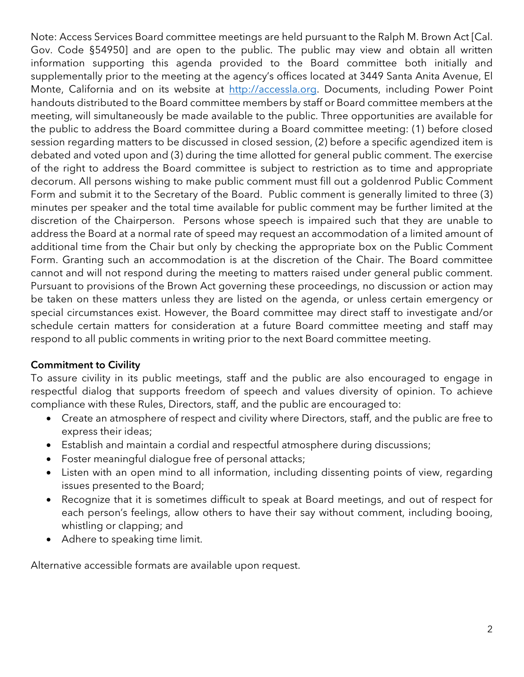Note: Access Services Board committee meetings are held pursuant to the Ralph M. Brown Act [Cal. Gov. Code §54950] and are open to the public. The public may view and obtain all written information supporting this agenda provided to the Board committee both initially and supplementally prior to the meeting at the agency's offices located at 3449 Santa Anita Avenue, El Monte, California and on its website at http://accessla.org. Documents, including Power Point handouts distributed to the Board committee members by staff or Board committee members at the meeting, will simultaneously be made available to the public. Three opportunities are available for the public to address the Board committee during a Board committee meeting: (1) before closed session regarding matters to be discussed in closed session, (2) before a specific agendized item is debated and voted upon and (3) during the time allotted for general public comment. The exercise of the right to address the Board committee is subject to restriction as to time and appropriate decorum. All persons wishing to make public comment must fill out a goldenrod Public Comment Form and submit it to the Secretary of the Board. Public comment is generally limited to three (3) minutes per speaker and the total time available for public comment may be further limited at the discretion of the Chairperson. Persons whose speech is impaired such that they are unable to address the Board at a normal rate of speed may request an accommodation of a limited amount of additional time from the Chair but only by checking the appropriate box on the Public Comment Form. Granting such an accommodation is at the discretion of the Chair. The Board committee cannot and will not respond during the meeting to matters raised under general public comment. Pursuant to provisions of the Brown Act governing these proceedings, no discussion or action may be taken on these matters unless they are listed on the agenda, or unless certain emergency or special circumstances exist. However, the Board committee may direct staff to investigate and/or schedule certain matters for consideration at a future Board committee meeting and staff may respond to all public comments in writing prior to the next Board committee meeting.

## Commitment to Civility

To assure civility in its public meetings, staff and the public are also encouraged to engage in respectful dialog that supports freedom of speech and values diversity of opinion. To achieve compliance with these Rules, Directors, staff, and the public are encouraged to:

- Create an atmosphere of respect and civility where Directors, staff, and the public are free to express their ideas;
- Establish and maintain a cordial and respectful atmosphere during discussions;
- Foster meaningful dialogue free of personal attacks;
- Listen with an open mind to all information, including dissenting points of view, regarding issues presented to the Board;
- Recognize that it is sometimes difficult to speak at Board meetings, and out of respect for each person's feelings, allow others to have their say without comment, including booing, whistling or clapping; and
- Adhere to speaking time limit.

Alternative accessible formats are available upon request.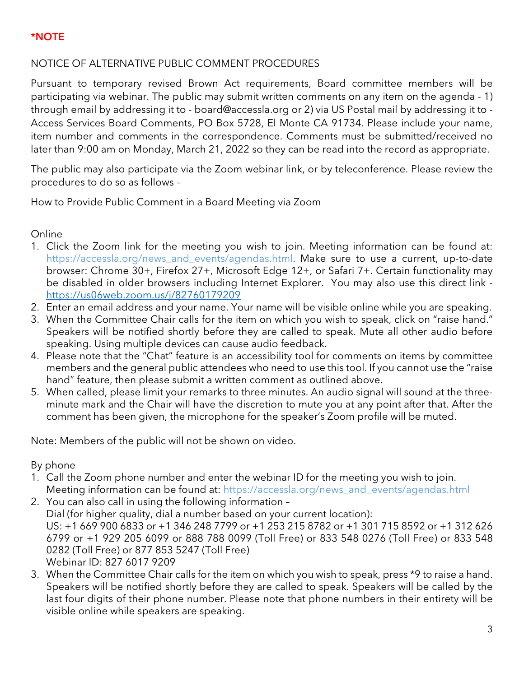## \*NOTE

## NOTICE OF ALTERNATIVE PUBLIC COMMENT PROCEDURES

Pursuant to temporary revised Brown Act requirements, Board committee members will be participating via webinar. The public may submit written comments on any item on the agenda - 1) through email by addressing it to - board@accessla.org or 2) via US Postal mail by addressing it to - Access Services Board Comments, PO Box 5728, El Monte CA 91734. Please include your name, item number and comments in the correspondence. Comments must be submitted/received no later than 9:00 am on Monday, March 21, 2022 so they can be read into the record as appropriate.

The public may also participate via the Zoom webinar link, or by teleconference. Please review the procedures to do so as follows –

How to Provide Public Comment in a Board Meeting via Zoom

Online

- 1. Click the Zoom link for the meeting you wish to join. Meeting information can be found at: https://accessla.org/news\_and\_events/agendas.html. Make sure to use a current, up-to-date browser: Chrome 30+, Firefox 27+, Microsoft Edge 12+, or Safari 7+. Certain functionality may be disabled in older browsers including Internet Explorer. You may also use this direct link https://us06web.zoom.us/j/82760179209
- 2. Enter an email address and your name. Your name will be visible online while you are speaking.
- 3. When the Committee Chair calls for the item on which you wish to speak, click on "raise hand." Speakers will be notified shortly before they are called to speak. Mute all other audio before speaking. Using multiple devices can cause audio feedback.
- 4. Please note that the "Chat" feature is an accessibility tool for comments on items by committee members and the general public attendees who need to use this tool. If you cannot use the "raise hand" feature, then please submit a written comment as outlined above.
- 5. When called, please limit your remarks to three minutes. An audio signal will sound at the threeminute mark and the Chair will have the discretion to mute you at any point after that. After the comment has been given, the microphone for the speaker's Zoom profile will be muted.

Note: Members of the public will not be shown on video.

By phone

- 1. Call the Zoom phone number and enter the webinar ID for the meeting you wish to join. Meeting information can be found at: https://accessla.org/news\_and\_events/agendas.html
- 2. You can also call in using the following information Dial (for higher quality, dial a number based on your current location): US: +1 669 900 6833 or +1 346 248 7799 or +1 253 215 8782 or +1 301 715 8592 or +1 312 626 6799 or +1 929 205 6099 or 888 788 0099 (Toll Free) or 833 548 0276 (Toll Free) or 833 548 0282 (Toll Free) or 877 853 5247 (Toll Free) Webinar ID: 827 6017 9209
- 3. When the Committee Chair calls for the item on which you wish to speak, press \*9 to raise a hand. Speakers will be notified shortly before they are called to speak. Speakers will be called by the last four digits of their phone number. Please note that phone numbers in their entirety will be visible online while speakers are speaking.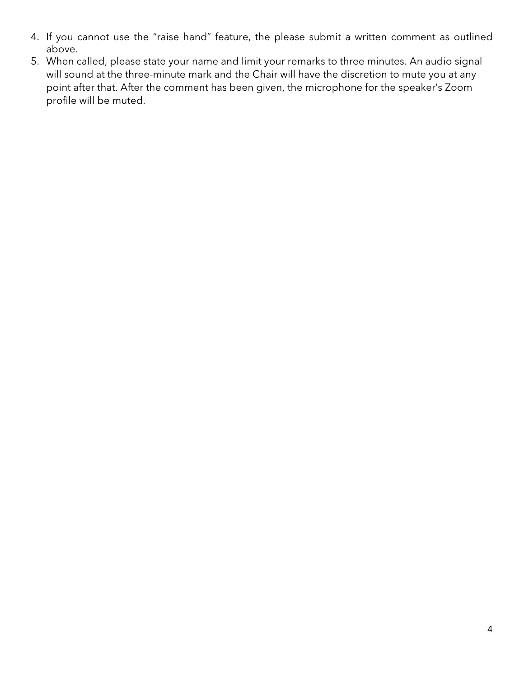- 4. If you cannot use the "raise hand" feature, the please submit a written comment as outlined above.
- 5. When called, please state your name and limit your remarks to three minutes. An audio signal will sound at the three-minute mark and the Chair will have the discretion to mute you at any point after that. After the comment has been given, the microphone for the speaker's Zoom profile will be muted.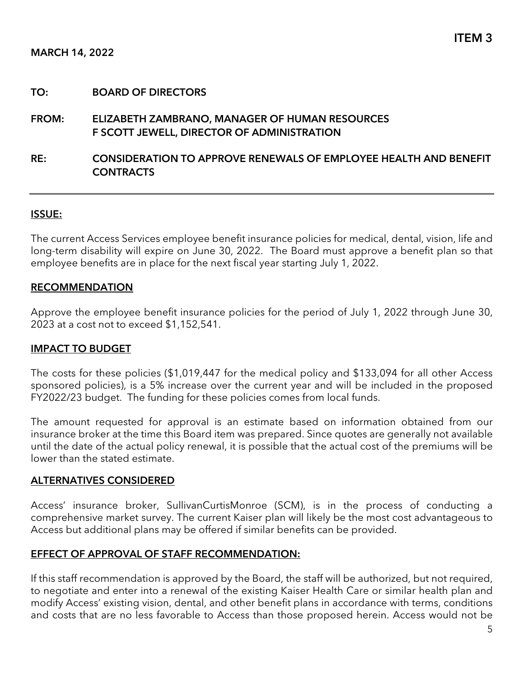## FROM: ELIZABETH ZAMBRANO, MANAGER OF HUMAN RESOURCES F SCOTT JEWELL, DIRECTOR OF ADMINISTRATION

## RE: CONSIDERATION TO APPROVE RENEWALS OF EMPLOYEE HEALTH AND BENEFIT **CONTRACTS**

#### ISSUE:

The current Access Services employee benefit insurance policies for medical, dental, vision, life and long-term disability will expire on June 30, 2022. The Board must approve a benefit plan so that employee benefits are in place for the next fiscal year starting July 1, 2022.

#### RECOMMENDATION

Approve the employee benefit insurance policies for the period of July 1, 2022 through June 30, 2023 at a cost not to exceed \$1,152,541.

#### IMPACT TO BUDGET

The costs for these policies (\$1,019,447 for the medical policy and \$133,094 for all other Access sponsored policies), is a 5% increase over the current year and will be included in the proposed FY2022/23 budget. The funding for these policies comes from local funds.

The amount requested for approval is an estimate based on information obtained from our insurance broker at the time this Board item was prepared. Since quotes are generally not available until the date of the actual policy renewal, it is possible that the actual cost of the premiums will be lower than the stated estimate.

#### ALTERNATIVES CONSIDERED

Access' insurance broker, SullivanCurtisMonroe (SCM), is in the process of conducting a comprehensive market survey. The current Kaiser plan will likely be the most cost advantageous to Access but additional plans may be offered if similar benefits can be provided.

#### EFFECT OF APPROVAL OF STAFF RECOMMENDATION:

If this staff recommendation is approved by the Board, the staff will be authorized, but not required, to negotiate and enter into a renewal of the existing Kaiser Health Care or similar health plan and modify Access' existing vision, dental, and other benefit plans in accordance with terms, conditions and costs that are no less favorable to Access than those proposed herein. Access would not be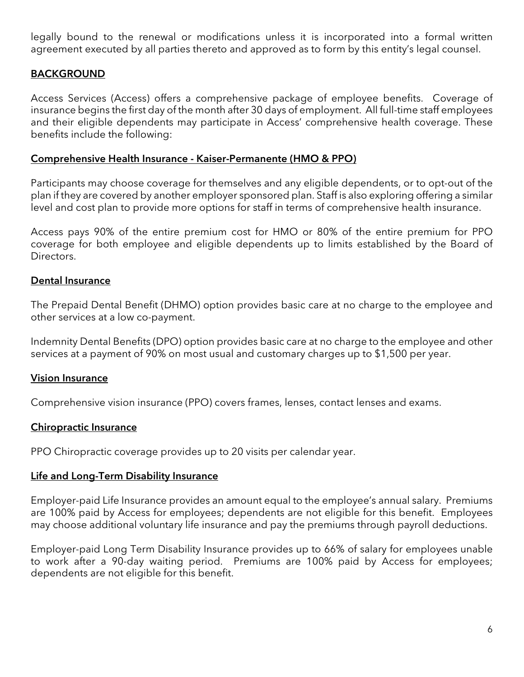legally bound to the renewal or modifications unless it is incorporated into a formal written agreement executed by all parties thereto and approved as to form by this entity's legal counsel.

## BACKGROUND

Access Services (Access) offers a comprehensive package of employee benefits. Coverage of insurance begins the first day of the month after 30 days of employment. All full-time staff employees and their eligible dependents may participate in Access' comprehensive health coverage. These benefits include the following:

#### Comprehensive Health Insurance - Kaiser-Permanente (HMO & PPO)

Participants may choose coverage for themselves and any eligible dependents, or to opt-out of the plan if they are covered by another employer sponsored plan. Staff is also exploring offering a similar level and cost plan to provide more options for staff in terms of comprehensive health insurance.

Access pays 90% of the entire premium cost for HMO or 80% of the entire premium for PPO coverage for both employee and eligible dependents up to limits established by the Board of Directors.

## Dental Insurance

The Prepaid Dental Benefit (DHMO) option provides basic care at no charge to the employee and other services at a low co-payment.

Indemnity Dental Benefits (DPO) option provides basic care at no charge to the employee and other services at a payment of 90% on most usual and customary charges up to \$1,500 per year.

#### Vision Insurance

Comprehensive vision insurance (PPO) covers frames, lenses, contact lenses and exams.

## Chiropractic Insurance

PPO Chiropractic coverage provides up to 20 visits per calendar year.

#### Life and Long-Term Disability Insurance

Employer-paid Life Insurance provides an amount equal to the employee's annual salary. Premiums are 100% paid by Access for employees; dependents are not eligible for this benefit. Employees may choose additional voluntary life insurance and pay the premiums through payroll deductions.

Employer-paid Long Term Disability Insurance provides up to 66% of salary for employees unable to work after a 90-day waiting period. Premiums are 100% paid by Access for employees; dependents are not eligible for this benefit.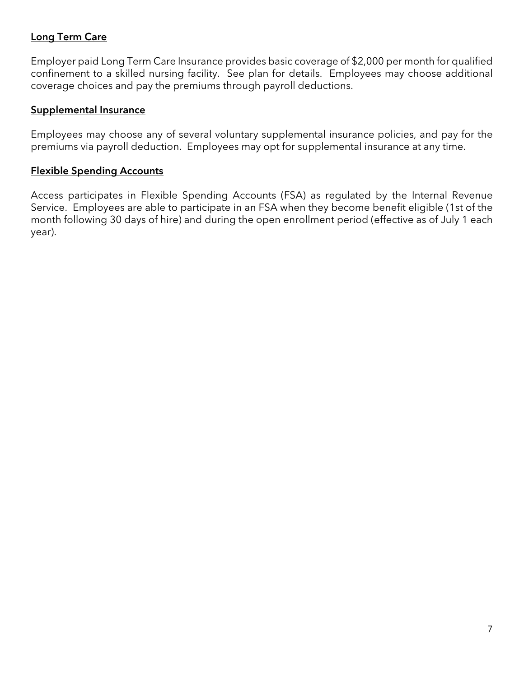## Long Term Care

Employer paid Long Term Care Insurance provides basic coverage of \$2,000 per month for qualified confinement to a skilled nursing facility. See plan for details. Employees may choose additional coverage choices and pay the premiums through payroll deductions.

## Supplemental Insurance

Employees may choose any of several voluntary supplemental insurance policies, and pay for the premiums via payroll deduction. Employees may opt for supplemental insurance at any time.

## Flexible Spending Accounts

Access participates in Flexible Spending Accounts (FSA) as regulated by the Internal Revenue Service. Employees are able to participate in an FSA when they become benefit eligible (1st of the month following 30 days of hire) and during the open enrollment period (effective as of July 1 each year).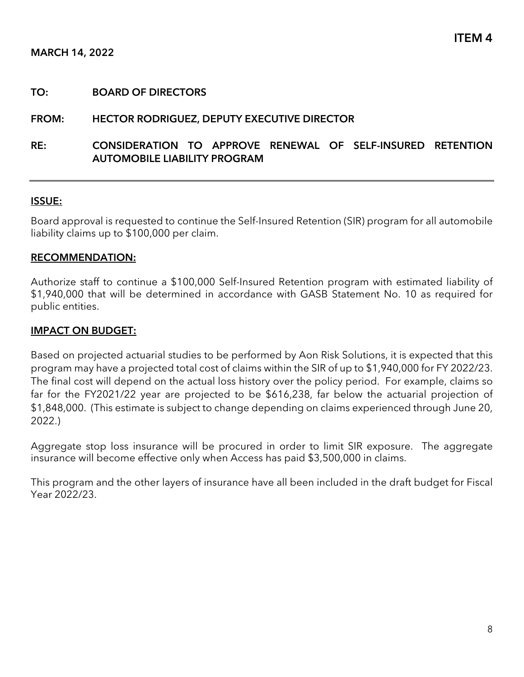### FROM: HECTOR RODRIGUEZ, DEPUTY EXECUTIVE DIRECTOR

## RE: CONSIDERATION TO APPROVE RENEWAL OF SELF-INSURED RETENTION AUTOMOBILE LIABILITY PROGRAM

#### ISSUE:

Board approval is requested to continue the Self-Insured Retention (SIR) program for all automobile liability claims up to \$100,000 per claim.

#### RECOMMENDATION:

Authorize staff to continue a \$100,000 Self-Insured Retention program with estimated liability of \$1,940,000 that will be determined in accordance with GASB Statement No. 10 as required for public entities.

#### IMPACT ON BUDGET:

Based on projected actuarial studies to be performed by Aon Risk Solutions, it is expected that this program may have a projected total cost of claims within the SIR of up to \$1,940,000 for FY 2022/23. The final cost will depend on the actual loss history over the policy period. For example, claims so far for the FY2021/22 year are projected to be \$616,238, far below the actuarial projection of \$1,848,000. (This estimate is subject to change depending on claims experienced through June 20, 2022.)

Aggregate stop loss insurance will be procured in order to limit SIR exposure. The aggregate insurance will become effective only when Access has paid \$3,500,000 in claims.

This program and the other layers of insurance have all been included in the draft budget for Fiscal Year 2022/23.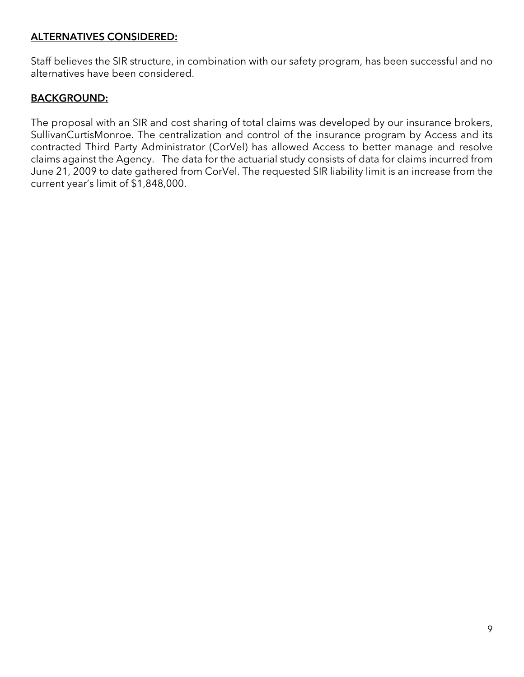## ALTERNATIVES CONSIDERED:

Staff believes the SIR structure, in combination with our safety program, has been successful and no alternatives have been considered.

## BACKGROUND:

The proposal with an SIR and cost sharing of total claims was developed by our insurance brokers, SullivanCurtisMonroe. The centralization and control of the insurance program by Access and its contracted Third Party Administrator (CorVel) has allowed Access to better manage and resolve claims against the Agency. The data for the actuarial study consists of data for claims incurred from June 21, 2009 to date gathered from CorVel. The requested SIR liability limit is an increase from the current year's limit of \$1,848,000.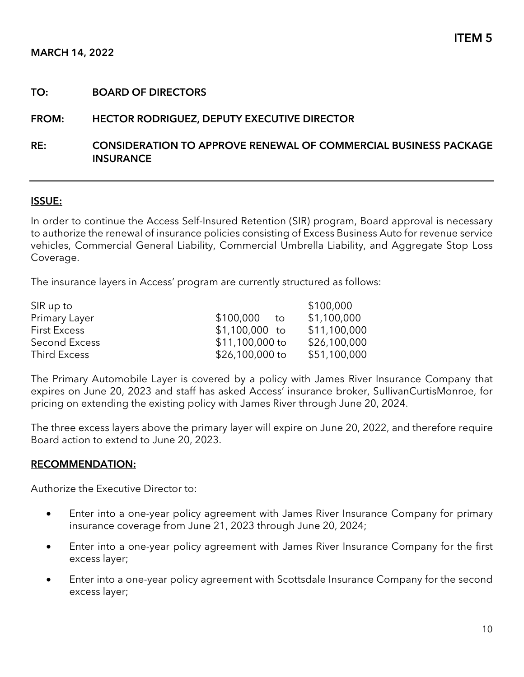#### FROM: HECTOR RODRIGUEZ, DEPUTY EXECUTIVE DIRECTOR

## RE: CONSIDERATION TO APPROVE RENEWAL OF COMMERCIAL BUSINESS PACKAGE **INSURANCE**

#### ISSUE:

In order to continue the Access Self-Insured Retention (SIR) program, Board approval is necessary to authorize the renewal of insurance policies consisting of Excess Business Auto for revenue service vehicles, Commercial General Liability, Commercial Umbrella Liability, and Aggregate Stop Loss Coverage.

The insurance layers in Access' program are currently structured as follows:

| SIR up to           |                 | \$100,000    |
|---------------------|-----------------|--------------|
| Primary Layer       | \$100,000<br>to | \$1,100,000  |
| <b>First Excess</b> | $$1,100,000$ to | \$11,100,000 |
| Second Excess       | \$11,100,000 to | \$26,100,000 |
| Third Excess        | \$26,100,000 to | \$51,100,000 |

The Primary Automobile Layer is covered by a policy with James River Insurance Company that expires on June 20, 2023 and staff has asked Access' insurance broker, SullivanCurtisMonroe, for pricing on extending the existing policy with James River through June 20, 2024.

The three excess layers above the primary layer will expire on June 20, 2022, and therefore require Board action to extend to June 20, 2023.

#### RECOMMENDATION:

Authorize the Executive Director to:

- Enter into a one-year policy agreement with James River Insurance Company for primary insurance coverage from June 21, 2023 through June 20, 2024;
- Enter into a one-year policy agreement with James River Insurance Company for the first excess layer;
- Enter into a one-year policy agreement with Scottsdale Insurance Company for the second excess layer;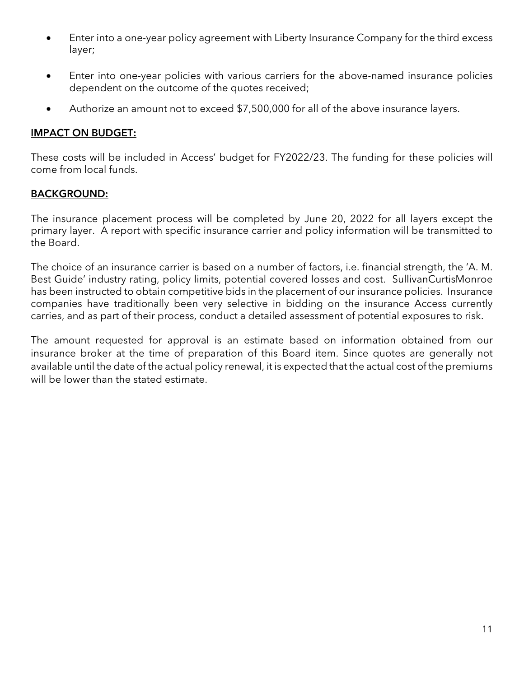- Enter into a one-year policy agreement with Liberty Insurance Company for the third excess layer;
- Enter into one-year policies with various carriers for the above-named insurance policies dependent on the outcome of the quotes received;
- Authorize an amount not to exceed \$7,500,000 for all of the above insurance layers.

## IMPACT ON BUDGET:

These costs will be included in Access' budget for FY2022/23. The funding for these policies will come from local funds.

## BACKGROUND:

The insurance placement process will be completed by June 20, 2022 for all layers except the primary layer. A report with specific insurance carrier and policy information will be transmitted to the Board.

The choice of an insurance carrier is based on a number of factors, i.e. financial strength, the 'A. M. Best Guide' industry rating, policy limits, potential covered losses and cost. SullivanCurtisMonroe has been instructed to obtain competitive bids in the placement of our insurance policies. Insurance companies have traditionally been very selective in bidding on the insurance Access currently carries, and as part of their process, conduct a detailed assessment of potential exposures to risk.

The amount requested for approval is an estimate based on information obtained from our insurance broker at the time of preparation of this Board item. Since quotes are generally not available until the date of the actual policy renewal, it is expected that the actual cost of the premiums will be lower than the stated estimate.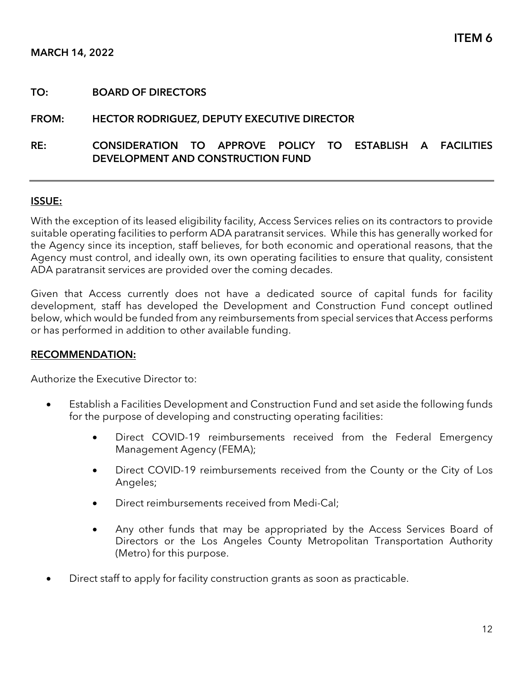#### FROM: HECTOR RODRIGUEZ, DEPUTY EXECUTIVE DIRECTOR

## RE: CONSIDERATION TO APPROVE POLICY TO ESTABLISH A FACILITIES DEVELOPMENT AND CONSTRUCTION FUND

#### ISSUE:

With the exception of its leased eligibility facility, Access Services relies on its contractors to provide suitable operating facilities to perform ADA paratransit services. While this has generally worked for the Agency since its inception, staff believes, for both economic and operational reasons, that the Agency must control, and ideally own, its own operating facilities to ensure that quality, consistent ADA paratransit services are provided over the coming decades.

Given that Access currently does not have a dedicated source of capital funds for facility development, staff has developed the Development and Construction Fund concept outlined below, which would be funded from any reimbursements from special services that Access performs or has performed in addition to other available funding.

#### RECOMMENDATION:

Authorize the Executive Director to:

- Establish a Facilities Development and Construction Fund and set aside the following funds for the purpose of developing and constructing operating facilities:
	- Direct COVID-19 reimbursements received from the Federal Emergency Management Agency (FEMA);
	- Direct COVID-19 reimbursements received from the County or the City of Los Angeles;
	- Direct reimbursements received from Medi-Cal;
	- Any other funds that may be appropriated by the Access Services Board of Directors or the Los Angeles County Metropolitan Transportation Authority (Metro) for this purpose.
- Direct staff to apply for facility construction grants as soon as practicable.